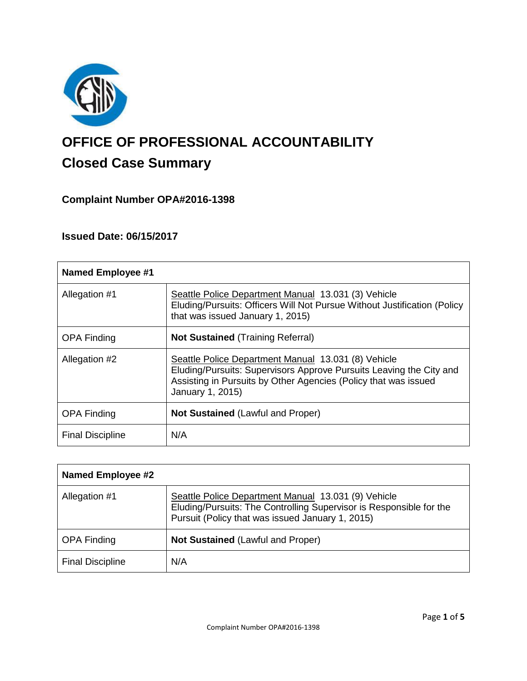

# **OFFICE OF PROFESSIONAL ACCOUNTABILITY Closed Case Summary**

# **Complaint Number OPA#2016-1398**

# **Issued Date: 06/15/2017**

| <b>Named Employee #1</b> |                                                                                                                                                                                                                   |
|--------------------------|-------------------------------------------------------------------------------------------------------------------------------------------------------------------------------------------------------------------|
| Allegation #1            | Seattle Police Department Manual 13.031 (3) Vehicle<br>Eluding/Pursuits: Officers Will Not Pursue Without Justification (Policy<br>that was issued January 1, 2015)                                               |
| <b>OPA Finding</b>       | <b>Not Sustained (Training Referral)</b>                                                                                                                                                                          |
| Allegation #2            | Seattle Police Department Manual 13.031 (8) Vehicle<br>Eluding/Pursuits: Supervisors Approve Pursuits Leaving the City and<br>Assisting in Pursuits by Other Agencies (Policy that was issued<br>January 1, 2015) |
| <b>OPA Finding</b>       | <b>Not Sustained (Lawful and Proper)</b>                                                                                                                                                                          |
| <b>Final Discipline</b>  | N/A                                                                                                                                                                                                               |

| <b>Named Employee #2</b> |                                                                                                                                                                                |
|--------------------------|--------------------------------------------------------------------------------------------------------------------------------------------------------------------------------|
| Allegation #1            | Seattle Police Department Manual 13.031 (9) Vehicle<br>Eluding/Pursuits: The Controlling Supervisor is Responsible for the<br>Pursuit (Policy that was issued January 1, 2015) |
| <b>OPA Finding</b>       | <b>Not Sustained (Lawful and Proper)</b>                                                                                                                                       |
| <b>Final Discipline</b>  | N/A                                                                                                                                                                            |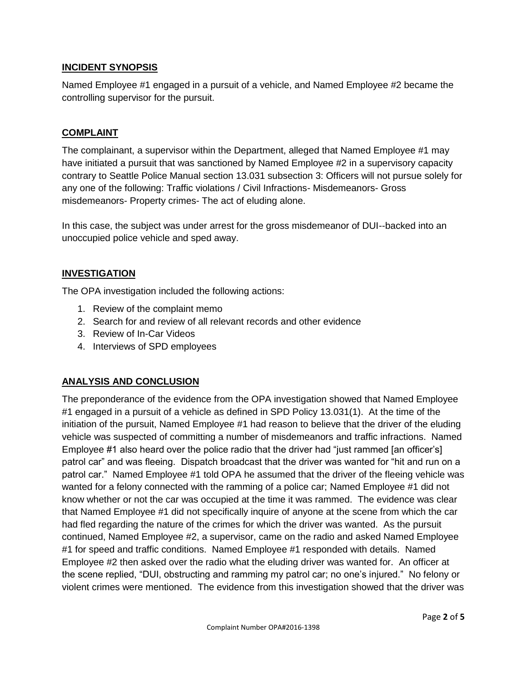## **INCIDENT SYNOPSIS**

Named Employee #1 engaged in a pursuit of a vehicle, and Named Employee #2 became the controlling supervisor for the pursuit.

### **COMPLAINT**

The complainant, a supervisor within the Department, alleged that Named Employee #1 may have initiated a pursuit that was sanctioned by Named Employee #2 in a supervisory capacity contrary to Seattle Police Manual section 13.031 subsection 3: Officers will not pursue solely for any one of the following: Traffic violations / Civil Infractions- Misdemeanors- Gross misdemeanors- Property crimes- The act of eluding alone.

In this case, the subject was under arrest for the gross misdemeanor of DUI--backed into an unoccupied police vehicle and sped away.

# **INVESTIGATION**

The OPA investigation included the following actions:

- 1. Review of the complaint memo
- 2. Search for and review of all relevant records and other evidence
- 3. Review of In-Car Videos
- 4. Interviews of SPD employees

# **ANALYSIS AND CONCLUSION**

The preponderance of the evidence from the OPA investigation showed that Named Employee #1 engaged in a pursuit of a vehicle as defined in SPD Policy 13.031(1). At the time of the initiation of the pursuit, Named Employee #1 had reason to believe that the driver of the eluding vehicle was suspected of committing a number of misdemeanors and traffic infractions. Named Employee #1 also heard over the police radio that the driver had "just rammed [an officer's] patrol car" and was fleeing. Dispatch broadcast that the driver was wanted for "hit and run on a patrol car." Named Employee #1 told OPA he assumed that the driver of the fleeing vehicle was wanted for a felony connected with the ramming of a police car; Named Employee #1 did not know whether or not the car was occupied at the time it was rammed. The evidence was clear that Named Employee #1 did not specifically inquire of anyone at the scene from which the car had fled regarding the nature of the crimes for which the driver was wanted. As the pursuit continued, Named Employee #2, a supervisor, came on the radio and asked Named Employee #1 for speed and traffic conditions. Named Employee #1 responded with details. Named Employee #2 then asked over the radio what the eluding driver was wanted for. An officer at the scene replied, "DUI, obstructing and ramming my patrol car; no one's injured." No felony or violent crimes were mentioned. The evidence from this investigation showed that the driver was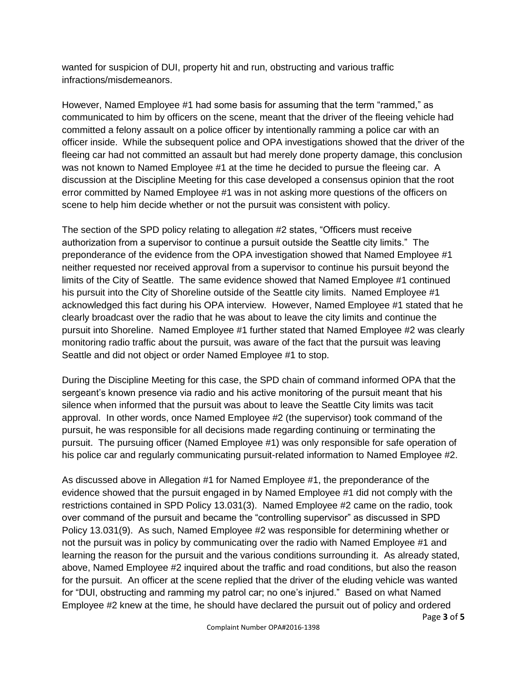wanted for suspicion of DUI, property hit and run, obstructing and various traffic infractions/misdemeanors.

However, Named Employee #1 had some basis for assuming that the term "rammed," as communicated to him by officers on the scene, meant that the driver of the fleeing vehicle had committed a felony assault on a police officer by intentionally ramming a police car with an officer inside. While the subsequent police and OPA investigations showed that the driver of the fleeing car had not committed an assault but had merely done property damage, this conclusion was not known to Named Employee #1 at the time he decided to pursue the fleeing car. A discussion at the Discipline Meeting for this case developed a consensus opinion that the root error committed by Named Employee #1 was in not asking more questions of the officers on scene to help him decide whether or not the pursuit was consistent with policy.

The section of the SPD policy relating to allegation #2 states, "Officers must receive authorization from a supervisor to continue a pursuit outside the Seattle city limits." The preponderance of the evidence from the OPA investigation showed that Named Employee #1 neither requested nor received approval from a supervisor to continue his pursuit beyond the limits of the City of Seattle. The same evidence showed that Named Employee #1 continued his pursuit into the City of Shoreline outside of the Seattle city limits. Named Employee #1 acknowledged this fact during his OPA interview. However, Named Employee #1 stated that he clearly broadcast over the radio that he was about to leave the city limits and continue the pursuit into Shoreline. Named Employee #1 further stated that Named Employee #2 was clearly monitoring radio traffic about the pursuit, was aware of the fact that the pursuit was leaving Seattle and did not object or order Named Employee #1 to stop.

During the Discipline Meeting for this case, the SPD chain of command informed OPA that the sergeant's known presence via radio and his active monitoring of the pursuit meant that his silence when informed that the pursuit was about to leave the Seattle City limits was tacit approval. In other words, once Named Employee #2 (the supervisor) took command of the pursuit, he was responsible for all decisions made regarding continuing or terminating the pursuit. The pursuing officer (Named Employee #1) was only responsible for safe operation of his police car and regularly communicating pursuit-related information to Named Employee #2.

As discussed above in Allegation #1 for Named Employee #1, the preponderance of the evidence showed that the pursuit engaged in by Named Employee #1 did not comply with the restrictions contained in SPD Policy 13.031(3). Named Employee #2 came on the radio, took over command of the pursuit and became the "controlling supervisor" as discussed in SPD Policy 13.031(9). As such, Named Employee #2 was responsible for determining whether or not the pursuit was in policy by communicating over the radio with Named Employee #1 and learning the reason for the pursuit and the various conditions surrounding it. As already stated, above, Named Employee #2 inquired about the traffic and road conditions, but also the reason for the pursuit. An officer at the scene replied that the driver of the eluding vehicle was wanted for "DUI, obstructing and ramming my patrol car; no one's injured." Based on what Named Employee #2 knew at the time, he should have declared the pursuit out of policy and ordered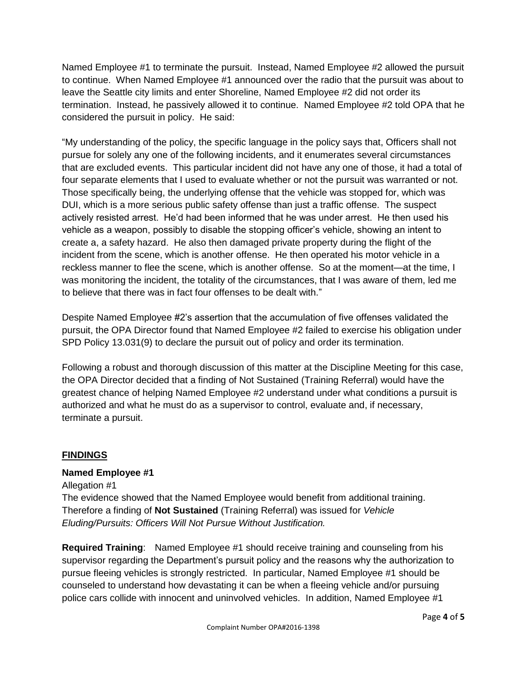Named Employee #1 to terminate the pursuit. Instead, Named Employee #2 allowed the pursuit to continue. When Named Employee #1 announced over the radio that the pursuit was about to leave the Seattle city limits and enter Shoreline, Named Employee #2 did not order its termination. Instead, he passively allowed it to continue. Named Employee #2 told OPA that he considered the pursuit in policy. He said:

"My understanding of the policy, the specific language in the policy says that, Officers shall not pursue for solely any one of the following incidents, and it enumerates several circumstances that are excluded events. This particular incident did not have any one of those, it had a total of four separate elements that I used to evaluate whether or not the pursuit was warranted or not. Those specifically being, the underlying offense that the vehicle was stopped for, which was DUI, which is a more serious public safety offense than just a traffic offense. The suspect actively resisted arrest. He'd had been informed that he was under arrest. He then used his vehicle as a weapon, possibly to disable the stopping officer's vehicle, showing an intent to create a, a safety hazard. He also then damaged private property during the flight of the incident from the scene, which is another offense. He then operated his motor vehicle in a reckless manner to flee the scene, which is another offense. So at the moment—at the time, I was monitoring the incident, the totality of the circumstances, that I was aware of them, led me to believe that there was in fact four offenses to be dealt with."

Despite Named Employee #2's assertion that the accumulation of five offenses validated the pursuit, the OPA Director found that Named Employee #2 failed to exercise his obligation under SPD Policy 13.031(9) to declare the pursuit out of policy and order its termination.

Following a robust and thorough discussion of this matter at the Discipline Meeting for this case, the OPA Director decided that a finding of Not Sustained (Training Referral) would have the greatest chance of helping Named Employee #2 understand under what conditions a pursuit is authorized and what he must do as a supervisor to control, evaluate and, if necessary, terminate a pursuit.

#### **FINDINGS**

#### **Named Employee #1**

Allegation #1 The evidence showed that the Named Employee would benefit from additional training. Therefore a finding of **Not Sustained** (Training Referral) was issued for *Vehicle Eluding/Pursuits: Officers Will Not Pursue Without Justification.*

**Required Training**: Named Employee #1 should receive training and counseling from his supervisor regarding the Department's pursuit policy and the reasons why the authorization to pursue fleeing vehicles is strongly restricted. In particular, Named Employee #1 should be counseled to understand how devastating it can be when a fleeing vehicle and/or pursuing police cars collide with innocent and uninvolved vehicles. In addition, Named Employee #1